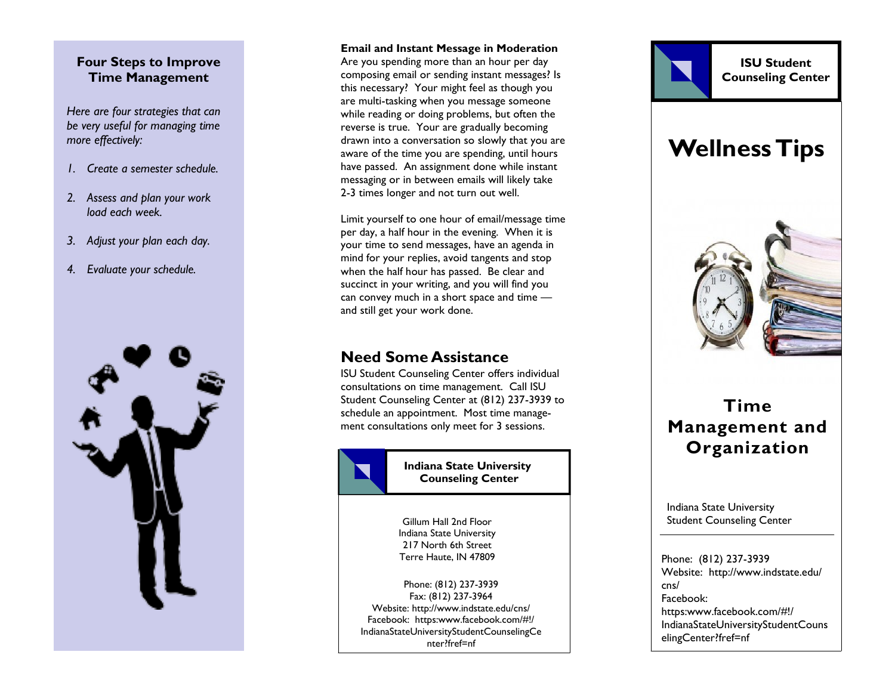## **Four Steps to Improve Time Management**

*Here are four strategies that can be very useful for managing time more effectively:*

- *1. Create a semester schedule.*
- *2. Assess and plan your work load each week.*
- *3. Adjust your plan each day.*
- *4. Evaluate your schedule.*



#### **Email and Instant Message in Moderation**

Are you spending more than an hour per day composing email or sending instant messages? Is this necessary? Your might feel as though you are multi -tasking when you message someone while reading or doing problems, but often the reverse is true. Your are gradually becoming drawn into a conversation so slowly that you are aware of the time you are spending, until hours have passed. An assignment done while instant messaging or in between emails will likely take 2-3 times longer and not turn out well.

Limit yourself to one hour of email/message time per day, a half hour in the evening. When it is your time to send messages, have an agenda in mind for your replies, avoid tangents and stop when the half hour has passed. Be clear and succinct in your writing, and you will find you can convey much in a short space and time and still get your work done.

# **Need Some Assistance**

ISU Student Counseling Center offers individual consultations on time management. Call ISU Student Counseling Center at (812) 237 -3939 to schedule an appointment. Most time management consultations only meet for 3 sessions.



**Indiana State University Counseling Center**

Gillum Hall 2nd Floor Indiana State University 217 North 6th Street Terre Haute, IN 47809

Phone: (812) 237 -3939 Fax: (812) 237 -3964 Website: http://www.indstate.edu/cns/ Facebook: https:www.facebook.com/#!/ IndianaStateUniversityStudentCounselingCe nter?fref=nf



Indiana State University Student Counseling Center

Phone: (812) 237 -3939 Website: http://www.indstate.edu/ cns/ Facebook: https:www.facebook.com/#!/ IndianaStateUniversityStudentCouns elingCenter?fref=nf